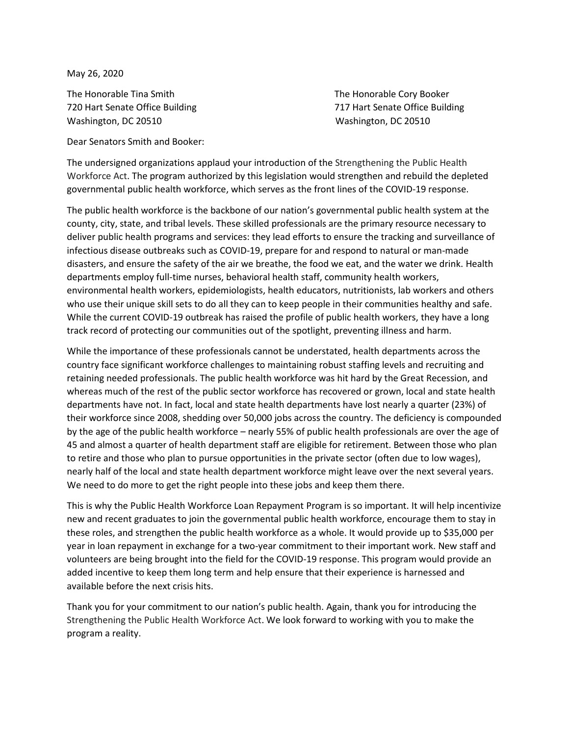May 26, 2020

The Honorable Tina Smith The Honorable Cory Booker Washington, DC 20510 Washington, DC 20510

720 Hart Senate Office Building 717 Hart Senate Office Building

Dear Senators Smith and Booker:

The undersigned organizations applaud your introduction of the Strengthening the Public Health Workforce Act. The program authorized by this legislation would strengthen and rebuild the depleted governmental public health workforce, which serves as the front lines of the COVID-19 response.

The public health workforce is the backbone of our nation's governmental public health system at the county, city, state, and tribal levels. These skilled professionals are the primary resource necessary to deliver public health programs and services: they lead efforts to ensure the tracking and surveillance of infectious disease outbreaks such as COVID-19, prepare for and respond to natural or man-made disasters, and ensure the safety of the air we breathe, the food we eat, and the water we drink. Health departments employ full-time nurses, behavioral health staff, community health workers, environmental health workers, epidemiologists, health educators, nutritionists, lab workers and others who use their unique skill sets to do all they can to keep people in their communities healthy and safe. While the current COVID-19 outbreak has raised the profile of public health workers, they have a long track record of protecting our communities out of the spotlight, preventing illness and harm.

While the importance of these professionals cannot be understated, health departments across the country face significant workforce challenges to maintaining robust staffing levels and recruiting and retaining needed professionals. The public health workforce was hit hard by the Great Recession, and whereas much of the rest of the public sector workforce has recovered or grown, local and state health departments have not. In fact, local and state health departments have lost nearly a quarter (23%) of their workforce since 2008, shedding over 50,000 jobs across the country. The deficiency is compounded by the age of the public health workforce – nearly 55% of public health professionals are over the age of 45 and almost a quarter of health department staff are eligible for retirement. Between those who plan to retire and those who plan to pursue opportunities in the private sector (often due to low wages), nearly half of the local and state health department workforce might leave over the next several years. We need to do more to get the right people into these jobs and keep them there.

This is why the Public Health Workforce Loan Repayment Program is so important. It will help incentivize new and recent graduates to join the governmental public health workforce, encourage them to stay in these roles, and strengthen the public health workforce as a whole. It would provide up to \$35,000 per year in loan repayment in exchange for a two-year commitment to their important work. New staff and volunteers are being brought into the field for the COVID-19 response. This program would provide an added incentive to keep them long term and help ensure that their experience is harnessed and available before the next crisis hits.

Thank you for your commitment to our nation's public health. Again, thank you for introducing the Strengthening the Public Health Workforce Act. We look forward to working with you to make the program a reality.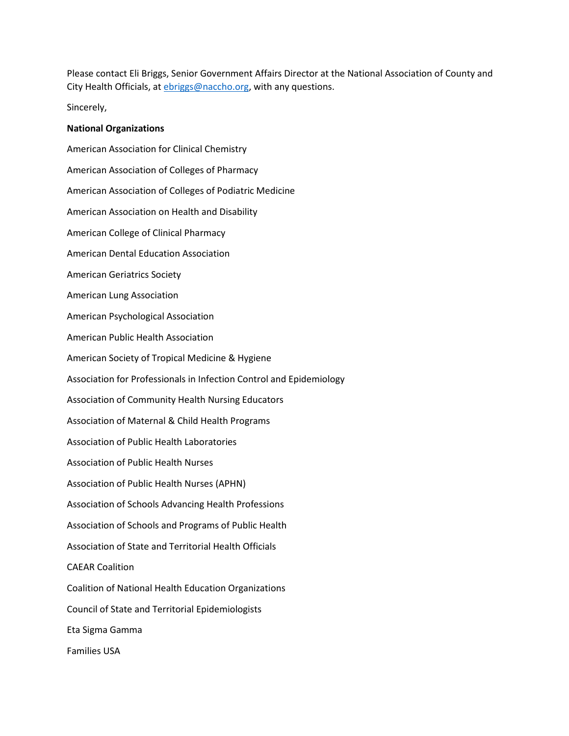Please contact Eli Briggs, Senior Government Affairs Director at the National Association of County and City Health Officials, at *ebriggs@naccho.org*, with any questions.

Sincerely,

## **National Organizations**

American Association for Clinical Chemistry American Association of Colleges of Pharmacy American Association of Colleges of Podiatric Medicine American Association on Health and Disability American College of Clinical Pharmacy American Dental Education Association American Geriatrics Society American Lung Association American Psychological Association American Public Health Association American Society of Tropical Medicine & Hygiene Association for Professionals in Infection Control and Epidemiology Association of Community Health Nursing Educators Association of Maternal & Child Health Programs Association of Public Health Laboratories Association of Public Health Nurses Association of Public Health Nurses (APHN) Association of Schools Advancing Health Professions Association of Schools and Programs of Public Health Association of State and Territorial Health Officials CAEAR Coalition Coalition of National Health Education Organizations Council of State and Territorial Epidemiologists Eta Sigma Gamma Families USA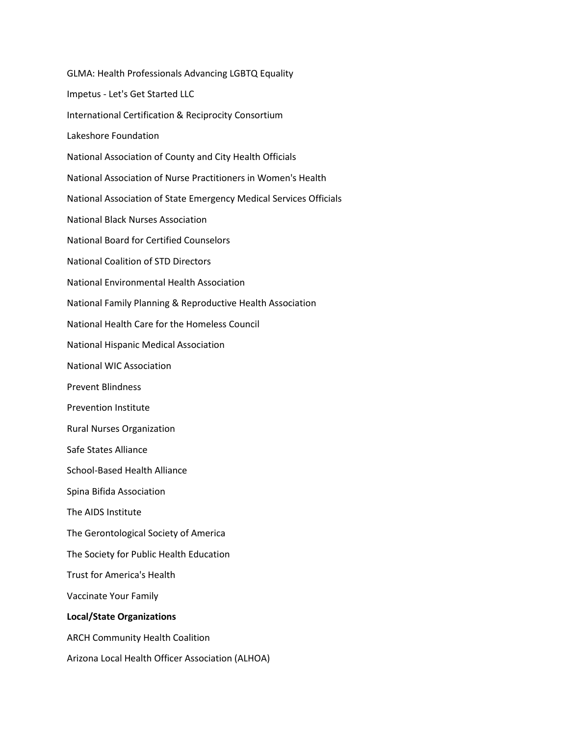GLMA: Health Professionals Advancing LGBTQ Equality Impetus - Let's Get Started LLC International Certification & Reciprocity Consortium Lakeshore Foundation National Association of County and City Health Officials National Association of Nurse Practitioners in Women's Health National Association of State Emergency Medical Services Officials National Black Nurses Association National Board for Certified Counselors National Coalition of STD Directors National Environmental Health Association National Family Planning & Reproductive Health Association National Health Care for the Homeless Council National Hispanic Medical Association National WIC Association Prevent Blindness Prevention Institute Rural Nurses Organization Safe States Alliance School-Based Health Alliance Spina Bifida Association The AIDS Institute The Gerontological Society of America The Society for Public Health Education Trust for America's Health Vaccinate Your Family **Local/State Organizations** ARCH Community Health Coalition Arizona Local Health Officer Association (ALHOA)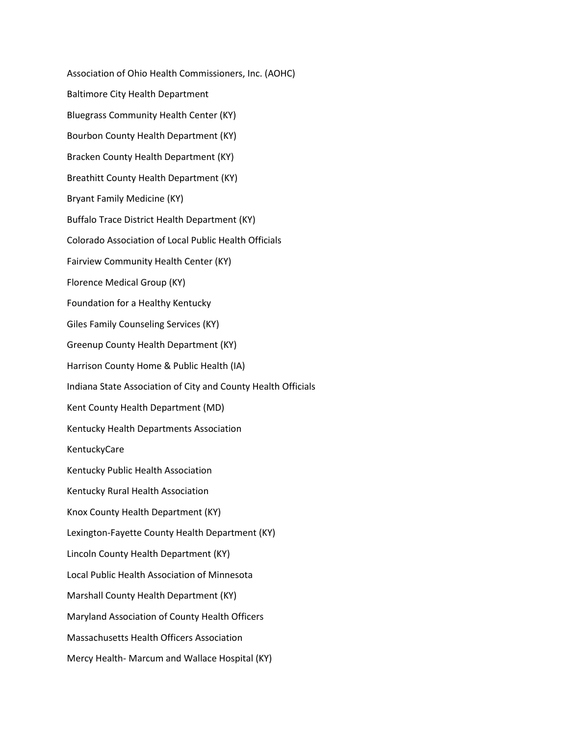Association of Ohio Health Commissioners, Inc. (AOHC) Baltimore City Health Department Bluegrass Community Health Center (KY) Bourbon County Health Department (KY) Bracken County Health Department (KY) Breathitt County Health Department (KY) Bryant Family Medicine (KY) Buffalo Trace District Health Department (KY) Colorado Association of Local Public Health Officials Fairview Community Health Center (KY) Florence Medical Group (KY) Foundation for a Healthy Kentucky Giles Family Counseling Services (KY) Greenup County Health Department (KY) Harrison County Home & Public Health (IA) Indiana State Association of City and County Health Officials Kent County Health Department (MD) Kentucky Health Departments Association KentuckyCare Kentucky Public Health Association Kentucky Rural Health Association Knox County Health Department (KY) Lexington-Fayette County Health Department (KY) Lincoln County Health Department (KY) Local Public Health Association of Minnesota Marshall County Health Department (KY) Maryland Association of County Health Officers Massachusetts Health Officers Association Mercy Health- Marcum and Wallace Hospital (KY)